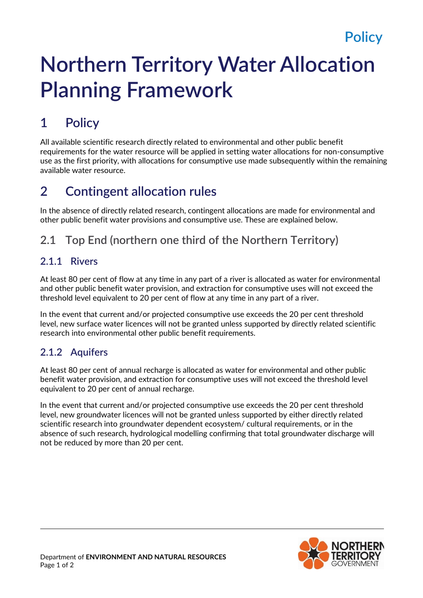# **Northern Territory Water Allocation Planning Framework**

## **1 Policy**

All available scientific research directly related to environmental and other public benefit requirements for the water resource will be applied in setting water allocations for non-consumptive use as the first priority, with allocations for consumptive use made subsequently within the remaining available water resource.

## **2 Contingent allocation rules**

In the absence of directly related research, contingent allocations are made for environmental and other public benefit water provisions and consumptive use. These are explained below.

### **2.1 Top End (northern one third of the Northern Territory)**

#### **2.1.1 Rivers**

At least 80 per cent of flow at any time in any part of a river is allocated as water for environmental and other public benefit water provision, and extraction for consumptive uses will not exceed the threshold level equivalent to 20 per cent of flow at any time in any part of a river.

In the event that current and/or projected consumptive use exceeds the 20 per cent threshold level, new surface water licences will not be granted unless supported by directly related scientific research into environmental other public benefit requirements.

#### **2.1.2 Aquifers**

At least 80 per cent of annual recharge is allocated as water for environmental and other public benefit water provision, and extraction for consumptive uses will not exceed the threshold level equivalent to 20 per cent of annual recharge.

In the event that current and/or projected consumptive use exceeds the 20 per cent threshold level, new groundwater licences will not be granted unless supported by either directly related scientific research into groundwater dependent ecosystem/ cultural requirements, or in the absence of such research, hydrological modelling confirming that total groundwater discharge will not be reduced by more than 20 per cent.